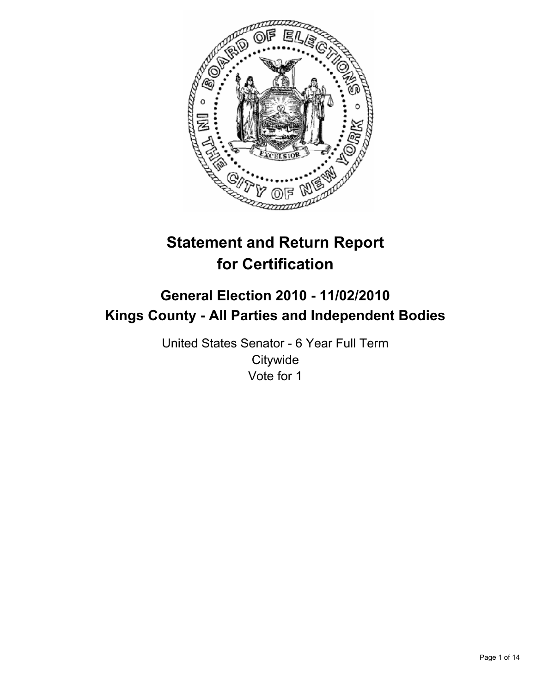

# **Statement and Return Report for Certification**

## **General Election 2010 - 11/02/2010 Kings County - All Parties and Independent Bodies**

United States Senator - 6 Year Full Term **Citywide** Vote for 1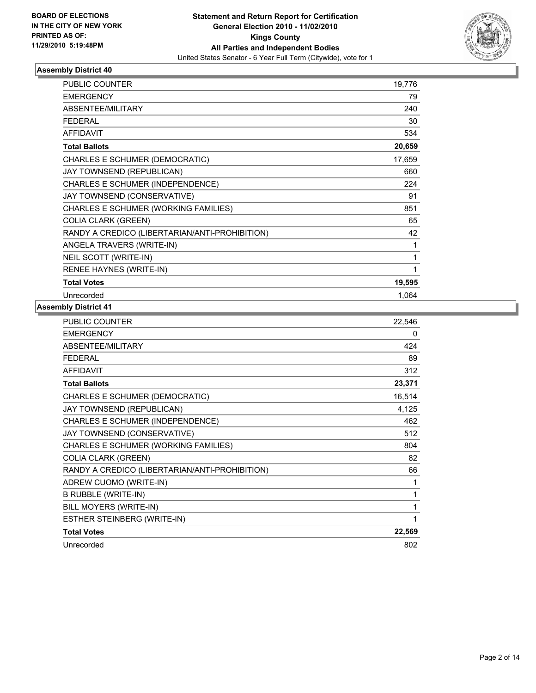

| <b>PUBLIC COUNTER</b>                          | 19,776 |
|------------------------------------------------|--------|
| <b>EMERGENCY</b>                               | 79     |
| <b>ABSENTEE/MILITARY</b>                       | 240    |
| <b>FEDERAL</b>                                 | 30     |
| <b>AFFIDAVIT</b>                               | 534    |
| <b>Total Ballots</b>                           | 20,659 |
| CHARLES E SCHUMER (DEMOCRATIC)                 | 17,659 |
| JAY TOWNSEND (REPUBLICAN)                      | 660    |
| CHARLES E SCHUMER (INDEPENDENCE)               | 224    |
| JAY TOWNSEND (CONSERVATIVE)                    | 91     |
| CHARLES E SCHUMER (WORKING FAMILIES)           | 851    |
| <b>COLIA CLARK (GREEN)</b>                     | 65     |
| RANDY A CREDICO (LIBERTARIAN/ANTI-PROHIBITION) | 42     |
| ANGELA TRAVERS (WRITE-IN)                      | 1      |
| NEIL SCOTT (WRITE-IN)                          | 1      |
| RENEE HAYNES (WRITE-IN)                        | 1      |
| <b>Total Votes</b>                             | 19,595 |
| Unrecorded                                     | 1.064  |

| <b>PUBLIC COUNTER</b>                          | 22,546 |
|------------------------------------------------|--------|
| <b>EMERGENCY</b>                               | 0      |
| ABSENTEE/MILITARY                              | 424    |
| <b>FEDERAL</b>                                 | 89     |
| <b>AFFIDAVIT</b>                               | 312    |
| <b>Total Ballots</b>                           | 23,371 |
| CHARLES E SCHUMER (DEMOCRATIC)                 | 16,514 |
| JAY TOWNSEND (REPUBLICAN)                      | 4,125  |
| CHARLES E SCHUMER (INDEPENDENCE)               | 462    |
| JAY TOWNSEND (CONSERVATIVE)                    | 512    |
| CHARLES E SCHUMER (WORKING FAMILIES)           | 804    |
| <b>COLIA CLARK (GREEN)</b>                     | 82     |
| RANDY A CREDICO (LIBERTARIAN/ANTI-PROHIBITION) | 66     |
| ADREW CUOMO (WRITE-IN)                         | 1      |
| <b>B RUBBLE (WRITE-IN)</b>                     | 1      |
| BILL MOYERS (WRITE-IN)                         | 1      |
| ESTHER STEINBERG (WRITE-IN)                    | 1      |
| <b>Total Votes</b>                             | 22,569 |
| Unrecorded                                     | 802    |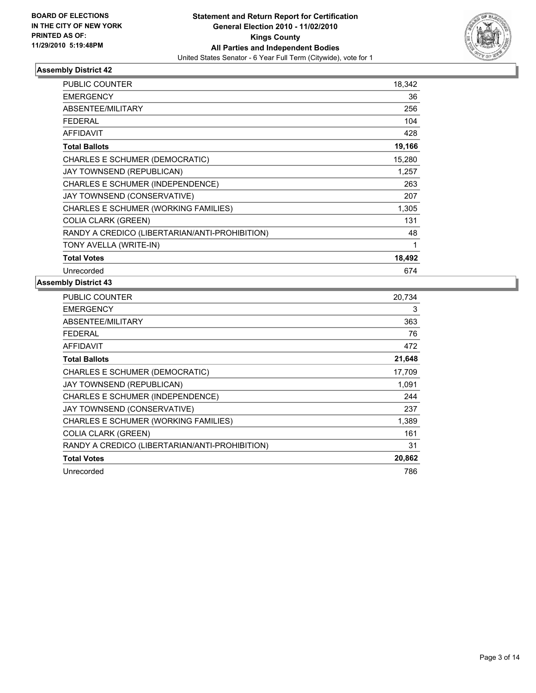

| <b>PUBLIC COUNTER</b>                          | 18,342 |
|------------------------------------------------|--------|
| <b>EMERGENCY</b>                               | 36     |
| ABSENTEE/MILITARY                              | 256    |
| <b>FEDERAL</b>                                 | 104    |
| <b>AFFIDAVIT</b>                               | 428    |
| <b>Total Ballots</b>                           | 19,166 |
| CHARLES E SCHUMER (DEMOCRATIC)                 | 15,280 |
| JAY TOWNSEND (REPUBLICAN)                      | 1,257  |
| CHARLES E SCHUMER (INDEPENDENCE)               | 263    |
| JAY TOWNSEND (CONSERVATIVE)                    | 207    |
| CHARLES E SCHUMER (WORKING FAMILIES)           | 1,305  |
| <b>COLIA CLARK (GREEN)</b>                     | 131    |
| RANDY A CREDICO (LIBERTARIAN/ANTI-PROHIBITION) | 48     |
| TONY AVELLA (WRITE-IN)                         | 1      |
| <b>Total Votes</b>                             | 18,492 |
| Unrecorded                                     | 674    |

| <b>PUBLIC COUNTER</b>                          | 20,734 |
|------------------------------------------------|--------|
| <b>EMERGENCY</b>                               | 3      |
| ABSENTEE/MILITARY                              | 363    |
| <b>FEDERAL</b>                                 | 76     |
| <b>AFFIDAVIT</b>                               | 472    |
| <b>Total Ballots</b>                           | 21,648 |
| CHARLES E SCHUMER (DEMOCRATIC)                 | 17,709 |
| JAY TOWNSEND (REPUBLICAN)                      | 1,091  |
| CHARLES E SCHUMER (INDEPENDENCE)               | 244    |
| JAY TOWNSEND (CONSERVATIVE)                    | 237    |
| CHARLES E SCHUMER (WORKING FAMILIES)           | 1,389  |
| <b>COLIA CLARK (GREEN)</b>                     | 161    |
| RANDY A CREDICO (LIBERTARIAN/ANTI-PROHIBITION) | 31     |
| <b>Total Votes</b>                             | 20,862 |
| Unrecorded                                     | 786    |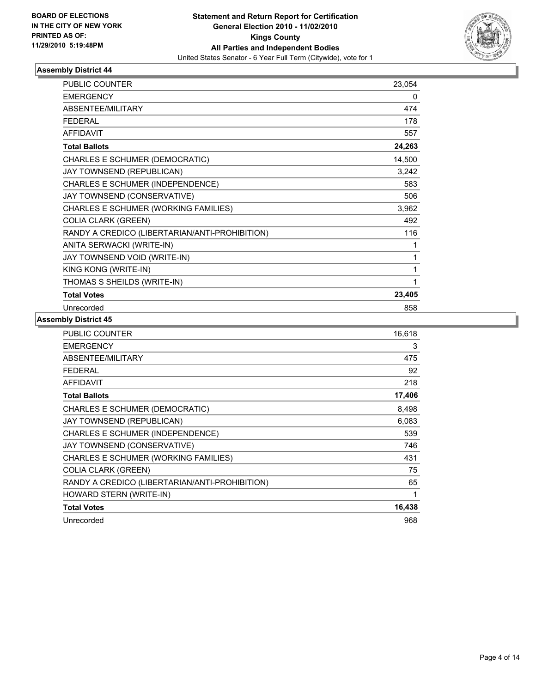

| <b>PUBLIC COUNTER</b>                          | 23,054 |
|------------------------------------------------|--------|
| <b>EMERGENCY</b>                               | 0      |
| ABSENTEE/MILITARY                              | 474    |
| <b>FEDERAL</b>                                 | 178    |
| <b>AFFIDAVIT</b>                               | 557    |
| <b>Total Ballots</b>                           | 24,263 |
| CHARLES E SCHUMER (DEMOCRATIC)                 | 14,500 |
| JAY TOWNSEND (REPUBLICAN)                      | 3,242  |
| CHARLES E SCHUMER (INDEPENDENCE)               | 583    |
| JAY TOWNSEND (CONSERVATIVE)                    | 506    |
| CHARLES E SCHUMER (WORKING FAMILIES)           | 3,962  |
| <b>COLIA CLARK (GREEN)</b>                     | 492    |
| RANDY A CREDICO (LIBERTARIAN/ANTI-PROHIBITION) | 116    |
| ANITA SERWACKI (WRITE-IN)                      | 1      |
| JAY TOWNSEND VOID (WRITE-IN)                   | 1      |
| KING KONG (WRITE-IN)                           | 1      |
| THOMAS S SHEILDS (WRITE-IN)                    | 1      |
| <b>Total Votes</b>                             | 23,405 |
| Unrecorded                                     | 858    |

| <b>PUBLIC COUNTER</b>                          | 16,618 |
|------------------------------------------------|--------|
| <b>EMERGENCY</b>                               | 3      |
| ABSENTEE/MILITARY                              | 475    |
| <b>FEDERAL</b>                                 | 92     |
| <b>AFFIDAVIT</b>                               | 218    |
| <b>Total Ballots</b>                           | 17,406 |
| CHARLES E SCHUMER (DEMOCRATIC)                 | 8,498  |
| JAY TOWNSEND (REPUBLICAN)                      | 6,083  |
| CHARLES E SCHUMER (INDEPENDENCE)               | 539    |
| JAY TOWNSEND (CONSERVATIVE)                    | 746    |
| CHARLES E SCHUMER (WORKING FAMILIES)           | 431    |
| <b>COLIA CLARK (GREEN)</b>                     | 75     |
| RANDY A CREDICO (LIBERTARIAN/ANTI-PROHIBITION) | 65     |
| HOWARD STERN (WRITE-IN)                        | 1      |
| <b>Total Votes</b>                             | 16,438 |
| Unrecorded                                     | 968    |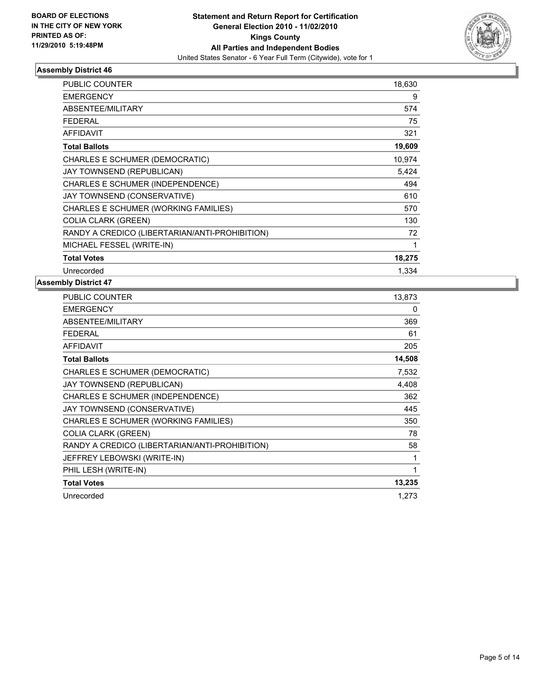

| <b>PUBLIC COUNTER</b>                          | 18,630 |
|------------------------------------------------|--------|
| <b>EMERGENCY</b>                               | 9      |
| ABSENTEE/MILITARY                              | 574    |
| <b>FEDERAL</b>                                 | 75     |
| <b>AFFIDAVIT</b>                               | 321    |
| <b>Total Ballots</b>                           | 19,609 |
| CHARLES E SCHUMER (DEMOCRATIC)                 | 10,974 |
| JAY TOWNSEND (REPUBLICAN)                      | 5,424  |
| CHARLES E SCHUMER (INDEPENDENCE)               | 494    |
| JAY TOWNSEND (CONSERVATIVE)                    | 610    |
| CHARLES E SCHUMER (WORKING FAMILIES)           | 570    |
| <b>COLIA CLARK (GREEN)</b>                     | 130    |
| RANDY A CREDICO (LIBERTARIAN/ANTI-PROHIBITION) | 72     |
| MICHAEL FESSEL (WRITE-IN)                      | 1      |
| <b>Total Votes</b>                             | 18,275 |
| Unrecorded                                     | 1,334  |

| 13,873 |
|--------|
| 0      |
| 369    |
| 61     |
| 205    |
| 14,508 |
| 7,532  |
| 4,408  |
| 362    |
| 445    |
| 350    |
| 78     |
| 58     |
| 1      |
| 1      |
| 13,235 |
| 1,273  |
|        |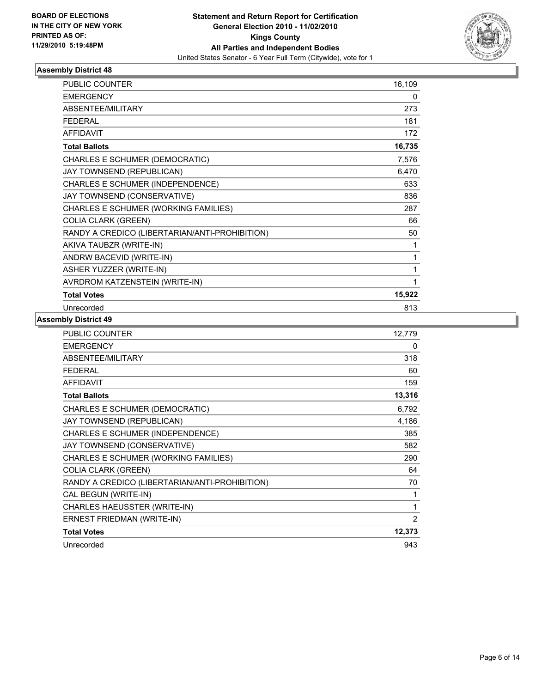

| PUBLIC COUNTER                                 | 16,109 |
|------------------------------------------------|--------|
| <b>EMERGENCY</b>                               | 0      |
| <b>ABSENTEE/MILITARY</b>                       | 273    |
| <b>FFDFRAL</b>                                 | 181    |
| <b>AFFIDAVIT</b>                               | 172    |
| <b>Total Ballots</b>                           | 16,735 |
| CHARLES E SCHUMER (DEMOCRATIC)                 | 7,576  |
| JAY TOWNSEND (REPUBLICAN)                      | 6,470  |
| CHARLES E SCHUMER (INDEPENDENCE)               | 633    |
| JAY TOWNSEND (CONSERVATIVE)                    | 836    |
| CHARLES E SCHUMER (WORKING FAMILIES)           | 287    |
| <b>COLIA CLARK (GREEN)</b>                     | 66     |
| RANDY A CREDICO (LIBERTARIAN/ANTI-PROHIBITION) | 50     |
| AKIVA TAUBZR (WRITE-IN)                        | 1      |
| ANDRW BACEVID (WRITE-IN)                       | 1      |
| ASHER YUZZER (WRITE-IN)                        | 1      |
| AVRDROM KATZENSTEIN (WRITE-IN)                 | 1      |
| <b>Total Votes</b>                             | 15,922 |
| Unrecorded                                     | 813    |

| <b>PUBLIC COUNTER</b>                          | 12,779       |
|------------------------------------------------|--------------|
| <b>EMERGENCY</b>                               | 0            |
| ABSENTEE/MILITARY                              | 318          |
| <b>FEDERAL</b>                                 | 60           |
| <b>AFFIDAVIT</b>                               | 159          |
| <b>Total Ballots</b>                           | 13,316       |
| CHARLES E SCHUMER (DEMOCRATIC)                 | 6,792        |
| JAY TOWNSEND (REPUBLICAN)                      | 4,186        |
| CHARLES E SCHUMER (INDEPENDENCE)               | 385          |
| JAY TOWNSEND (CONSERVATIVE)                    | 582          |
| CHARLES E SCHUMER (WORKING FAMILIES)           | 290          |
| <b>COLIA CLARK (GREEN)</b>                     | 64           |
| RANDY A CREDICO (LIBERTARIAN/ANTI-PROHIBITION) | 70           |
| CAL BEGUN (WRITE-IN)                           | 1            |
| CHARLES HAEUSSTER (WRITE-IN)                   | $\mathbf{1}$ |
| ERNEST FRIEDMAN (WRITE-IN)                     | 2            |
| <b>Total Votes</b>                             | 12,373       |
| Unrecorded                                     | 943          |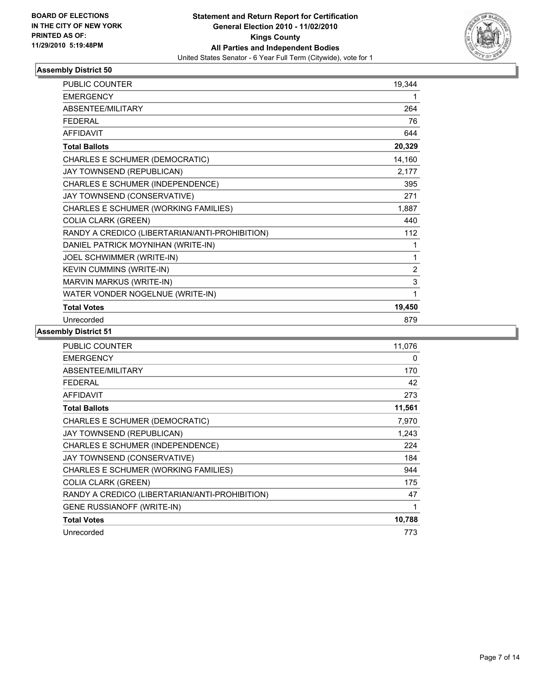

| <b>PUBLIC COUNTER</b>                          | 19,344 |
|------------------------------------------------|--------|
| <b>EMERGENCY</b>                               | 1      |
| <b>ABSENTEE/MILITARY</b>                       | 264    |
| <b>FEDERAL</b>                                 | 76     |
| <b>AFFIDAVIT</b>                               | 644    |
| <b>Total Ballots</b>                           | 20,329 |
| CHARLES E SCHUMER (DEMOCRATIC)                 | 14,160 |
| JAY TOWNSEND (REPUBLICAN)                      | 2,177  |
| CHARLES E SCHUMER (INDEPENDENCE)               | 395    |
| JAY TOWNSEND (CONSERVATIVE)                    | 271    |
| CHARLES E SCHUMER (WORKING FAMILIES)           | 1,887  |
| <b>COLIA CLARK (GREEN)</b>                     | 440    |
| RANDY A CREDICO (LIBERTARIAN/ANTI-PROHIBITION) | 112    |
| DANIEL PATRICK MOYNIHAN (WRITE-IN)             | 1      |
| JOEL SCHWIMMER (WRITE-IN)                      | 1      |
| KEVIN CUMMINS (WRITE-IN)                       | 2      |
| MARVIN MARKUS (WRITE-IN)                       | 3      |
| WATER VONDER NOGELNUE (WRITE-IN)               | 1      |
| <b>Total Votes</b>                             | 19,450 |
| Unrecorded                                     | 879    |

| PUBLIC COUNTER                                 | 11,076 |
|------------------------------------------------|--------|
| <b>EMERGENCY</b>                               | 0      |
| <b>ABSENTEE/MILITARY</b>                       | 170    |
| <b>FEDERAL</b>                                 | 42     |
| <b>AFFIDAVIT</b>                               | 273    |
| <b>Total Ballots</b>                           | 11,561 |
| CHARLES E SCHUMER (DEMOCRATIC)                 | 7,970  |
| JAY TOWNSEND (REPUBLICAN)                      | 1,243  |
| CHARLES E SCHUMER (INDEPENDENCE)               | 224    |
| JAY TOWNSEND (CONSERVATIVE)                    | 184    |
| CHARLES E SCHUMER (WORKING FAMILIES)           | 944    |
| <b>COLIA CLARK (GREEN)</b>                     | 175    |
| RANDY A CREDICO (LIBERTARIAN/ANTI-PROHIBITION) | 47     |
| <b>GENE RUSSIANOFF (WRITE-IN)</b>              | 1      |
| <b>Total Votes</b>                             | 10,788 |
| Unrecorded                                     | 773    |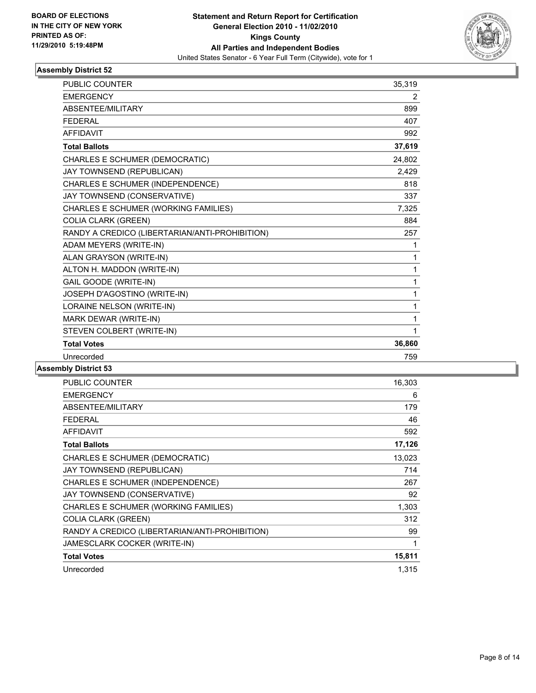

| <b>PUBLIC COUNTER</b>                          | 35,319         |
|------------------------------------------------|----------------|
| <b>EMERGENCY</b>                               | $\overline{2}$ |
| ABSENTEE/MILITARY                              | 899            |
| <b>FEDERAL</b>                                 | 407            |
| <b>AFFIDAVIT</b>                               | 992            |
| <b>Total Ballots</b>                           | 37,619         |
| CHARLES E SCHUMER (DEMOCRATIC)                 | 24,802         |
| JAY TOWNSEND (REPUBLICAN)                      | 2,429          |
| CHARLES E SCHUMER (INDEPENDENCE)               | 818            |
| JAY TOWNSEND (CONSERVATIVE)                    | 337            |
| CHARLES E SCHUMER (WORKING FAMILIES)           | 7,325          |
| <b>COLIA CLARK (GREEN)</b>                     | 884            |
| RANDY A CREDICO (LIBERTARIAN/ANTI-PROHIBITION) | 257            |
| ADAM MEYERS (WRITE-IN)                         | 1              |
| ALAN GRAYSON (WRITE-IN)                        | 1              |
| ALTON H. MADDON (WRITE-IN)                     | 1              |
| GAIL GOODE (WRITE-IN)                          | 1              |
| JOSEPH D'AGOSTINO (WRITE-IN)                   | 1              |
| LORAINE NELSON (WRITE-IN)                      | 1              |
| MARK DEWAR (WRITE-IN)                          | 1              |
| STEVEN COLBERT (WRITE-IN)                      | 1              |
| <b>Total Votes</b>                             | 36,860         |
| Unrecorded                                     | 759            |

| <b>PUBLIC COUNTER</b>                          | 16,303 |
|------------------------------------------------|--------|
| <b>EMERGENCY</b>                               | 6      |
| ABSENTEE/MILITARY                              | 179    |
| <b>FEDERAL</b>                                 | 46     |
| <b>AFFIDAVIT</b>                               | 592    |
| <b>Total Ballots</b>                           | 17,126 |
| CHARLES E SCHUMER (DEMOCRATIC)                 | 13,023 |
| JAY TOWNSEND (REPUBLICAN)                      | 714    |
| CHARLES E SCHUMER (INDEPENDENCE)               | 267    |
| JAY TOWNSEND (CONSERVATIVE)                    | 92     |
| CHARLES E SCHUMER (WORKING FAMILIES)           | 1,303  |
| <b>COLIA CLARK (GREEN)</b>                     | 312    |
| RANDY A CREDICO (LIBERTARIAN/ANTI-PROHIBITION) | 99     |
| JAMESCLARK COCKER (WRITE-IN)                   | 1      |
| <b>Total Votes</b>                             | 15,811 |
| Unrecorded                                     | 1,315  |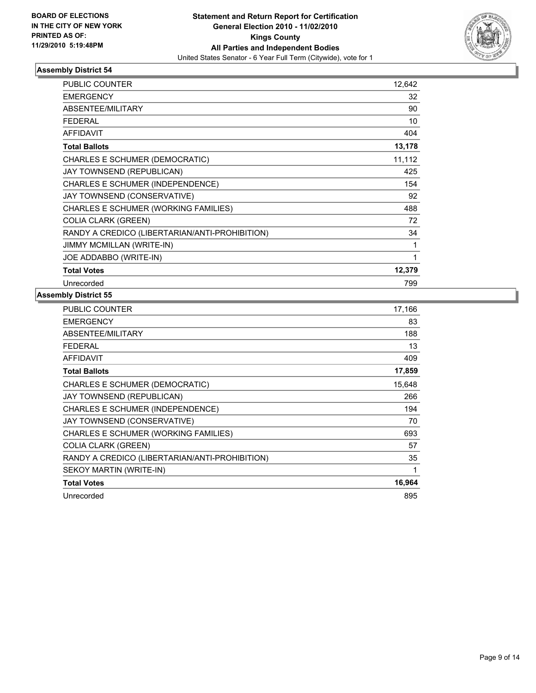

| <b>PUBLIC COUNTER</b>                          | 12,642 |
|------------------------------------------------|--------|
| <b>EMERGENCY</b>                               | 32     |
| <b>ABSENTEE/MILITARY</b>                       | 90     |
| <b>FEDERAL</b>                                 | 10     |
| <b>AFFIDAVIT</b>                               | 404    |
| <b>Total Ballots</b>                           | 13,178 |
| CHARLES E SCHUMER (DEMOCRATIC)                 | 11,112 |
| JAY TOWNSEND (REPUBLICAN)                      | 425    |
| CHARLES E SCHUMER (INDEPENDENCE)               | 154    |
| JAY TOWNSEND (CONSERVATIVE)                    | 92     |
| CHARLES E SCHUMER (WORKING FAMILIES)           | 488    |
| <b>COLIA CLARK (GREEN)</b>                     | 72     |
| RANDY A CREDICO (LIBERTARIAN/ANTI-PROHIBITION) | 34     |
| <b>JIMMY MCMILLAN (WRITE-IN)</b>               | 1      |
| JOE ADDABBO (WRITE-IN)                         | 1      |
| <b>Total Votes</b>                             | 12,379 |
| Unrecorded                                     | 799    |

| <b>PUBLIC COUNTER</b>                          | 17,166 |
|------------------------------------------------|--------|
| <b>EMERGENCY</b>                               | 83     |
| ABSENTEE/MILITARY                              | 188    |
| <b>FEDERAL</b>                                 | 13     |
| <b>AFFIDAVIT</b>                               | 409    |
| <b>Total Ballots</b>                           | 17,859 |
| CHARLES E SCHUMER (DEMOCRATIC)                 | 15,648 |
| JAY TOWNSEND (REPUBLICAN)                      | 266    |
| CHARLES E SCHUMER (INDEPENDENCE)               | 194    |
| JAY TOWNSEND (CONSERVATIVE)                    | 70     |
| CHARLES E SCHUMER (WORKING FAMILIES)           | 693    |
| <b>COLIA CLARK (GREEN)</b>                     | 57     |
| RANDY A CREDICO (LIBERTARIAN/ANTI-PROHIBITION) | 35     |
| SEKOY MARTIN (WRITE-IN)                        | 1      |
| <b>Total Votes</b>                             | 16,964 |
| Unrecorded                                     | 895    |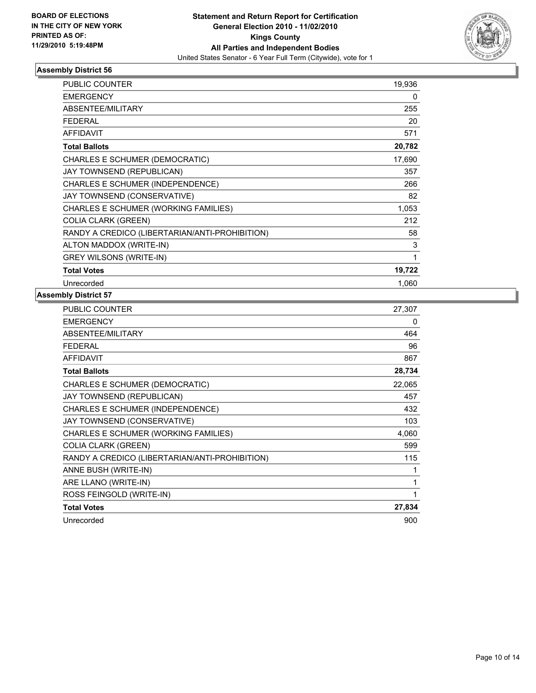

| <b>PUBLIC COUNTER</b>                          | 19,936 |
|------------------------------------------------|--------|
| <b>EMERGENCY</b>                               | 0      |
| ABSENTEE/MILITARY                              | 255    |
| <b>FEDERAL</b>                                 | 20     |
| <b>AFFIDAVIT</b>                               | 571    |
| <b>Total Ballots</b>                           | 20,782 |
| CHARLES E SCHUMER (DEMOCRATIC)                 | 17,690 |
| JAY TOWNSEND (REPUBLICAN)                      | 357    |
| CHARLES E SCHUMER (INDEPENDENCE)               | 266    |
| JAY TOWNSEND (CONSERVATIVE)                    | 82     |
| CHARLES E SCHUMER (WORKING FAMILIES)           | 1,053  |
| <b>COLIA CLARK (GREEN)</b>                     | 212    |
| RANDY A CREDICO (LIBERTARIAN/ANTI-PROHIBITION) | 58     |
| ALTON MADDOX (WRITE-IN)                        | 3      |
| <b>GREY WILSONS (WRITE-IN)</b>                 | 1      |
| <b>Total Votes</b>                             | 19,722 |
| Unrecorded                                     | 1,060  |

| PUBLIC COUNTER                                 | 27,307 |
|------------------------------------------------|--------|
| <b>EMERGENCY</b>                               | 0      |
| ABSENTEE/MILITARY                              | 464    |
| <b>FEDERAL</b>                                 | 96     |
| <b>AFFIDAVIT</b>                               | 867    |
| <b>Total Ballots</b>                           | 28,734 |
| CHARLES E SCHUMER (DEMOCRATIC)                 | 22,065 |
| JAY TOWNSEND (REPUBLICAN)                      | 457    |
| CHARLES E SCHUMER (INDEPENDENCE)               | 432    |
| JAY TOWNSEND (CONSERVATIVE)                    | 103    |
| CHARLES E SCHUMER (WORKING FAMILIES)           | 4,060  |
| <b>COLIA CLARK (GREEN)</b>                     | 599    |
| RANDY A CREDICO (LIBERTARIAN/ANTI-PROHIBITION) | 115    |
| ANNE BUSH (WRITE-IN)                           | 1      |
| ARE LLANO (WRITE-IN)                           | 1      |
| ROSS FEINGOLD (WRITE-IN)                       | 1      |
| <b>Total Votes</b>                             | 27,834 |
| Unrecorded                                     | 900    |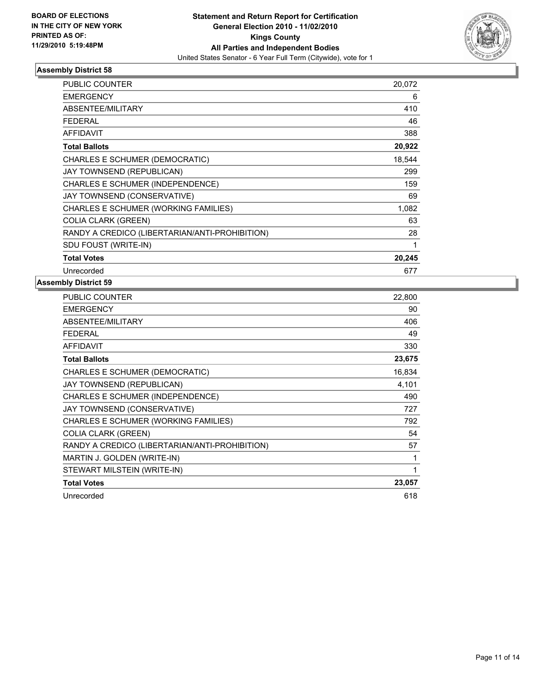

| <b>PUBLIC COUNTER</b>                          | 20,072 |
|------------------------------------------------|--------|
| <b>EMERGENCY</b>                               | 6      |
| ABSENTEE/MILITARY                              | 410    |
| <b>FEDERAL</b>                                 | 46     |
| <b>AFFIDAVIT</b>                               | 388    |
| <b>Total Ballots</b>                           | 20,922 |
| CHARLES E SCHUMER (DEMOCRATIC)                 | 18,544 |
| JAY TOWNSEND (REPUBLICAN)                      | 299    |
| CHARLES E SCHUMER (INDEPENDENCE)               | 159    |
| JAY TOWNSEND (CONSERVATIVE)                    | 69     |
| CHARLES E SCHUMER (WORKING FAMILIES)           | 1,082  |
| <b>COLIA CLARK (GREEN)</b>                     | 63     |
| RANDY A CREDICO (LIBERTARIAN/ANTI-PROHIBITION) | 28     |
| SDU FOUST (WRITE-IN)                           | 1      |
| <b>Total Votes</b>                             | 20,245 |
| Unrecorded                                     | 677    |

| <b>PUBLIC COUNTER</b>                          | 22,800 |
|------------------------------------------------|--------|
| <b>EMERGENCY</b>                               | 90     |
| ABSENTEE/MILITARY                              | 406    |
| <b>FEDERAL</b>                                 | 49     |
| <b>AFFIDAVIT</b>                               | 330    |
| <b>Total Ballots</b>                           | 23,675 |
| CHARLES E SCHUMER (DEMOCRATIC)                 | 16,834 |
| JAY TOWNSEND (REPUBLICAN)                      | 4,101  |
| CHARLES E SCHUMER (INDEPENDENCE)               | 490    |
| JAY TOWNSEND (CONSERVATIVE)                    | 727    |
| CHARLES E SCHUMER (WORKING FAMILIES)           | 792    |
| <b>COLIA CLARK (GREEN)</b>                     | 54     |
| RANDY A CREDICO (LIBERTARIAN/ANTI-PROHIBITION) | 57     |
| MARTIN J. GOLDEN (WRITE-IN)                    | 1      |
| STEWART MILSTEIN (WRITE-IN)                    | 1      |
| <b>Total Votes</b>                             | 23,057 |
| Unrecorded                                     | 618    |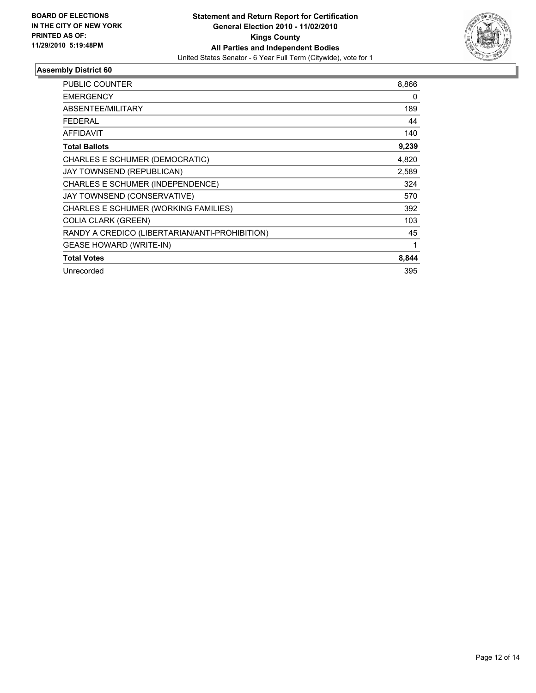

| <b>PUBLIC COUNTER</b>                          | 8,866 |
|------------------------------------------------|-------|
| <b>EMERGENCY</b>                               | 0     |
| ABSENTEE/MILITARY                              | 189   |
| <b>FEDERAL</b>                                 | 44    |
| <b>AFFIDAVIT</b>                               | 140   |
| <b>Total Ballots</b>                           | 9,239 |
| CHARLES E SCHUMER (DEMOCRATIC)                 | 4,820 |
| JAY TOWNSEND (REPUBLICAN)                      | 2,589 |
| <b>CHARLES E SCHUMER (INDEPENDENCE)</b>        | 324   |
| JAY TOWNSEND (CONSERVATIVE)                    | 570   |
| CHARLES E SCHUMER (WORKING FAMILIES)           | 392   |
| <b>COLIA CLARK (GREEN)</b>                     | 103   |
| RANDY A CREDICO (LIBERTARIAN/ANTI-PROHIBITION) | 45    |
| <b>GEASE HOWARD (WRITE-IN)</b>                 | 1     |
| <b>Total Votes</b>                             | 8,844 |
| Unrecorded                                     | 395   |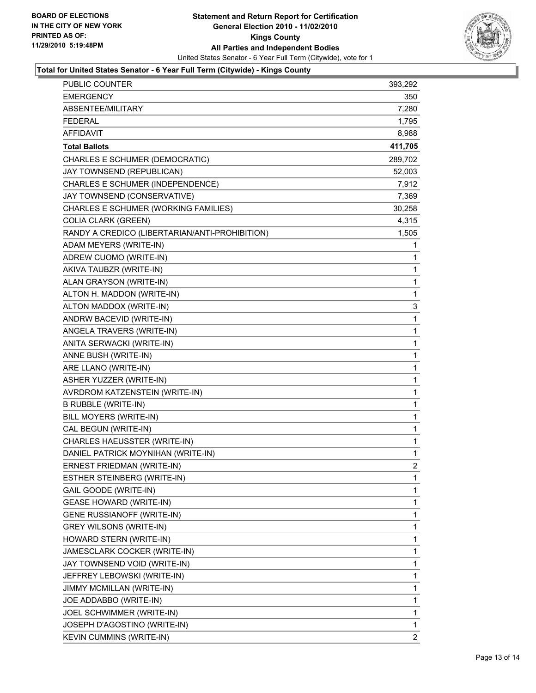

#### **Total for United States Senator - 6 Year Full Term (Citywide) - Kings County**

| <b>PUBLIC COUNTER</b>                          | 393,292 |
|------------------------------------------------|---------|
| <b>EMERGENCY</b>                               | 350     |
| ABSENTEE/MILITARY                              | 7,280   |
| <b>FEDERAL</b>                                 | 1,795   |
| <b>AFFIDAVIT</b>                               | 8,988   |
| <b>Total Ballots</b>                           | 411,705 |
| CHARLES E SCHUMER (DEMOCRATIC)                 | 289,702 |
| JAY TOWNSEND (REPUBLICAN)                      | 52,003  |
| CHARLES E SCHUMER (INDEPENDENCE)               | 7,912   |
| JAY TOWNSEND (CONSERVATIVE)                    | 7,369   |
| CHARLES E SCHUMER (WORKING FAMILIES)           | 30,258  |
| <b>COLIA CLARK (GREEN)</b>                     | 4,315   |
| RANDY A CREDICO (LIBERTARIAN/ANTI-PROHIBITION) | 1,505   |
| ADAM MEYERS (WRITE-IN)                         | 1       |
| ADREW CUOMO (WRITE-IN)                         | 1       |
| AKIVA TAUBZR (WRITE-IN)                        | 1       |
| ALAN GRAYSON (WRITE-IN)                        | 1       |
| ALTON H. MADDON (WRITE-IN)                     | 1       |
| ALTON MADDOX (WRITE-IN)                        | 3       |
| ANDRW BACEVID (WRITE-IN)                       | 1       |
| ANGELA TRAVERS (WRITE-IN)                      | 1       |
| ANITA SERWACKI (WRITE-IN)                      | 1       |
| ANNE BUSH (WRITE-IN)                           | 1       |
| ARE LLANO (WRITE-IN)                           | 1       |
| ASHER YUZZER (WRITE-IN)                        | 1       |
| AVRDROM KATZENSTEIN (WRITE-IN)                 | 1       |
| <b>B RUBBLE (WRITE-IN)</b>                     | 1       |
| BILL MOYERS (WRITE-IN)                         | 1       |
| CAL BEGUN (WRITE-IN)                           | 1       |
| CHARLES HAEUSSTER (WRITE-IN)                   | 1       |
| DANIEL PATRICK MOYNIHAN (WRITE-IN)             | 1       |
| ERNEST FRIEDMAN (WRITE-IN)                     | 2       |
| <b>ESTHER STEINBERG (WRITE-IN)</b>             | 1       |
| GAIL GOODE (WRITE-IN)                          | 1       |
| <b>GEASE HOWARD (WRITE-IN)</b>                 | 1       |
| GENE RUSSIANOFF (WRITE-IN)                     | 1       |
| <b>GREY WILSONS (WRITE-IN)</b>                 | 1       |
| HOWARD STERN (WRITE-IN)                        | 1       |
| JAMESCLARK COCKER (WRITE-IN)                   | 1       |
| JAY TOWNSEND VOID (WRITE-IN)                   | 1       |
| JEFFREY LEBOWSKI (WRITE-IN)                    | 1       |
| JIMMY MCMILLAN (WRITE-IN)                      | 1       |
| JOE ADDABBO (WRITE-IN)                         | 1       |
| JOEL SCHWIMMER (WRITE-IN)                      | 1       |
| JOSEPH D'AGOSTINO (WRITE-IN)                   | 1       |
| <b>KEVIN CUMMINS (WRITE-IN)</b>                | 2       |